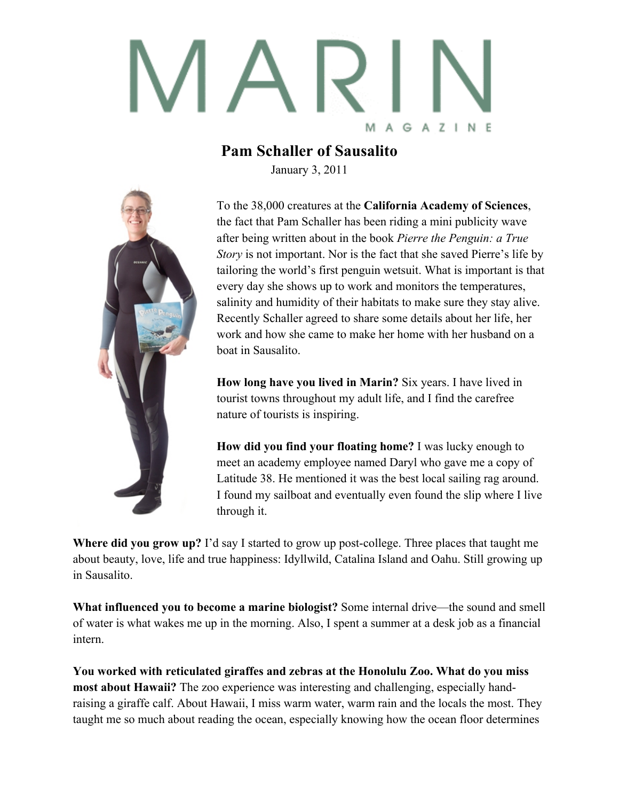

## **Pam Schaller of Sausalito**

January 3, 2011



To the 38,000 creatures at the **California Academy of Sciences**, the fact that Pam Schaller has been riding a mini publicity wave after being written about in the book *Pierre the Penguin: a True Story* is not important. Nor is the fact that she saved Pierre's life by tailoring the world's first penguin wetsuit. What is important is that every day she shows up to work and monitors the temperatures, salinity and humidity of their habitats to make sure they stay alive. Recently Schaller agreed to share some details about her life, her work and how she came to make her home with her husband on a boat in Sausalito.

**How long have you lived in Marin?** Six years. I have lived in tourist towns throughout my adult life, and I find the carefree nature of tourists is inspiring.

**How did you find your floating home?** I was lucky enough to meet an academy employee named Daryl who gave me a copy of Latitude 38. He mentioned it was the best local sailing rag around. I found my sailboat and eventually even found the slip where I live through it.

**Where did you grow up?** I'd say I started to grow up post-college. Three places that taught me about beauty, love, life and true happiness: Idyllwild, Catalina Island and Oahu. Still growing up in Sausalito.

**What influenced you to become a marine biologist?** Some internal drive—the sound and smell of water is what wakes me up in the morning. Also, I spent a summer at a desk job as a financial intern.

**You worked with reticulated giraffes and zebras at the Honolulu Zoo. What do you miss most about Hawaii?** The zoo experience was interesting and challenging, especially handraising a giraffe calf. About Hawaii, I miss warm water, warm rain and the locals the most. They taught me so much about reading the ocean, especially knowing how the ocean floor determines